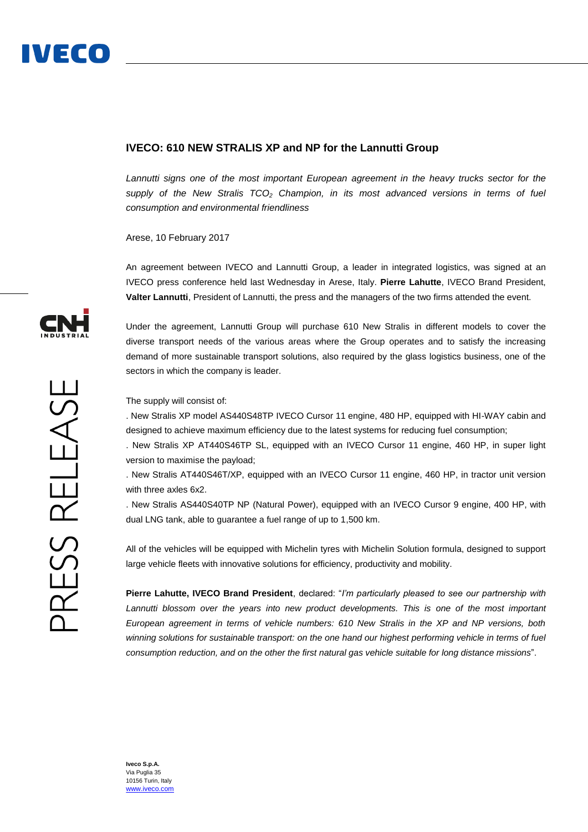## **IVECO: 610 NEW STRALIS XP and NP for the Lannutti Group**

*Lannutti signs one of the most important European agreement in the heavy trucks sector for the supply of the New Stralis TCO<sup>2</sup> Champion, in its most advanced versions in terms of fuel consumption and environmental friendliness*

Arese, 10 February 2017

An agreement between IVECO and Lannutti Group, a leader in integrated logistics, was signed at an IVECO press conference held last Wednesday in Arese, Italy. **Pierre Lahutte**, IVECO Brand President, **Valter Lannutti**, President of Lannutti, the press and the managers of the two firms attended the event.

Under the agreement, Lannutti Group will purchase 610 New Stralis in different models to cover the diverse transport needs of the various areas where the Group operates and to satisfy the increasing demand of more sustainable transport solutions, also required by the glass logistics business, one of the sectors in which the company is leader.

The supply will consist of:

. New Stralis XP model AS440S48TP IVECO Cursor 11 engine, 480 HP, equipped with HI-WAY cabin and designed to achieve maximum efficiency due to the latest systems for reducing fuel consumption;

. New Stralis XP AT440S46TP SL, equipped with an IVECO Cursor 11 engine, 460 HP, in super light version to maximise the payload;

. New Stralis AT440S46T/XP, equipped with an IVECO Cursor 11 engine, 460 HP, in tractor unit version with three axles 6x2.

. New Stralis AS440S40TP NP (Natural Power), equipped with an IVECO Cursor 9 engine, 400 HP, with dual LNG tank, able to guarantee a fuel range of up to 1,500 km.

All of the vehicles will be equipped with Michelin tyres with Michelin Solution formula, designed to support large vehicle fleets with innovative solutions for efficiency, productivity and mobility.

**Pierre Lahutte, IVECO Brand President**, declared: "*I'm particularly pleased to see our partnership with Lannutti blossom over the years into new product developments. This is one of the most important European agreement in terms of vehicle numbers: 610 New Stralis in the XP and NP versions, both winning solutions for sustainable transport: on the one hand our highest performing vehicle in terms of fuel consumption reduction, and on the other the first natural gas vehicle suitable for long distance missions*".



**Iveco S.p.A.** Via Puglia 35 10156 Turin, Italy [www.iveco.com](http://www.iveco.com/)